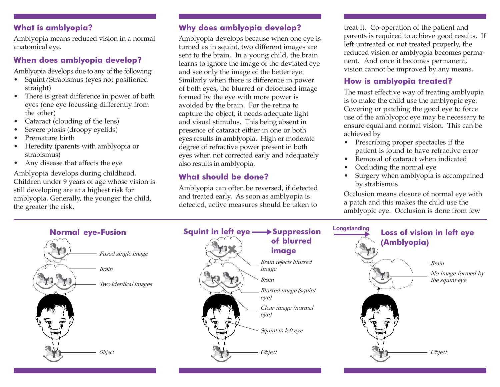## What is amblyopia?

Amblyopia means reduced vision in a normal anatomical eye.

## When does amblyopia develop?

Amblyopia develops due to any of the following:

- Squint/Strabismus (eyes not positioned straight)
- There is great difference in power of both eyes (one eye focussing differently from the other)
- Cataract (clouding of the lens)
- Severe ptosis (droopy eyelids)
- Premature birth
- Heredity (parents with amblyopia or strabismus)
- Any disease that affects the eye

Amblyopia develops during childhood. Children under 9 years of age whose vision is still developing are at a highest risk for amblyopia. Generally, the younger the child, the greater the risk.

## Why does amblyopia develop?

Amblyopia develops because when one eye is turned as in squint, two different images are sent to the brain. In a young child, the brain learns to ignore the image of the deviated eye and see only the image of the better eye. Similarly when there is difference in power of both eyes, the blurred or defocused image formed by the eye with more power is avoided by the brain. For the retina to capture the object, it needs adequate light and visual stimulus. This being absent in presence of cataract either in one or both eyes results in amblyopia. High or moderate degree of refractive power present in both eyes when not corrected early and adequately also results in amblyopia.

## What should be done?

Amblyopia can often be reversed, if detected and treated early. As soon as amblyopia is detected, active measures should be taken to

treat it. Co-operation of the patient and parents is required to achieve good results. If left untreated or not treated properly, the reduced vision or amblyopia becomes permanent. And once it becomes permanent, vision cannot be improved by any means.

## How is amblyopia treated?

The most effective way of treating amblyopia is to make the child use the amblyopic eye. Covering or patching the good eye to force use of the amblyopic eye may be necessary to ensure equal and normal vision. This can be achieved by

- Prescribing proper spectacles if the patient is found to have refractive error
- Removal of cataract when indicated
- Occluding the normal eye
- Surgery when amblyopia is accompained by strabismus

Occlusion means closure of normal eye with a patch and this makes the child use the amblyopic eye. Occlusion is done from few